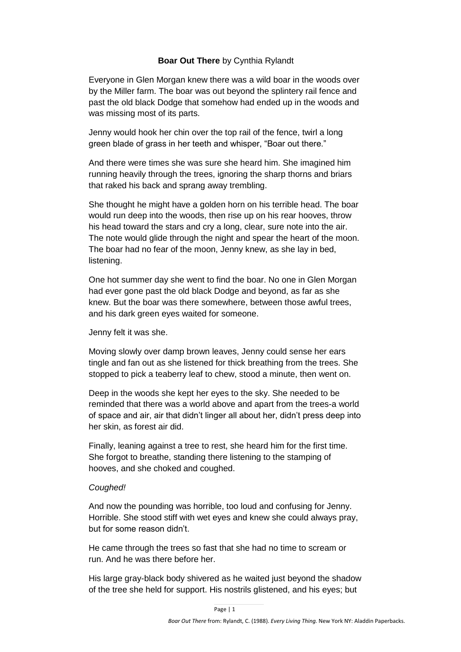## **Boar Out There** by Cynthia Rylandt

Everyone in Glen Morgan knew there was a wild boar in the woods over by the Miller farm. The boar was out beyond the splintery rail fence and past the old black Dodge that somehow had ended up in the woods and was missing most of its parts.

Jenny would hook her chin over the top rail of the fence, twirl a long green blade of grass in her teeth and whisper, "Boar out there."

And there were times she was sure she heard him. She imagined him running heavily through the trees, ignoring the sharp thorns and briars that raked his back and sprang away trembling.

She thought he might have a golden horn on his terrible head. The boar would run deep into the woods, then rise up on his rear hooves, throw his head toward the stars and cry a long, clear, sure note into the air. The note would glide through the night and spear the heart of the moon. The boar had no fear of the moon, Jenny knew, as she lay in bed, listening.

One hot summer day she went to find the boar. No one in Glen Morgan had ever gone past the old black Dodge and beyond, as far as she knew. But the boar was there somewhere, between those awful trees, and his dark green eyes waited for someone.

Jenny felt it was she.

Moving slowly over damp brown leaves, Jenny could sense her ears tingle and fan out as she listened for thick breathing from the trees. She stopped to pick a teaberry leaf to chew, stood a minute, then went on.

Deep in the woods she kept her eyes to the sky. She needed to be reminded that there was a world above and apart from the trees-a world of space and air, air that didn't linger all about her, didn't press deep into her skin, as forest air did.

Finally, leaning against a tree to rest, she heard him for the first time. She forgot to breathe, standing there listening to the stamping of hooves, and she choked and coughed.

## *Coughed!*

And now the pounding was horrible, too loud and confusing for Jenny. Horrible. She stood stiff with wet eyes and knew she could always pray, but for some reason didn't.

He came through the trees so fast that she had no time to scream or run. And he was there before her.

His large gray-black body shivered as he waited just beyond the shadow of the tree she held for support. His nostrils glistened, and his eyes; but